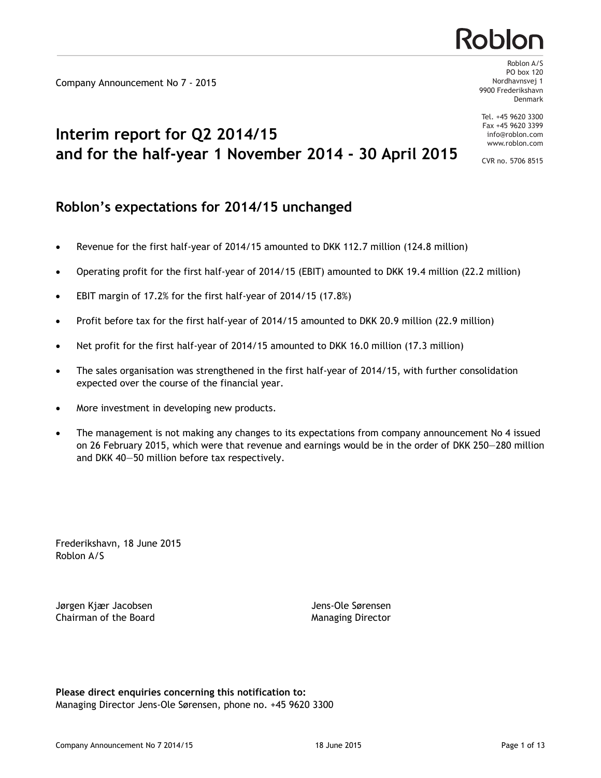Company Announcement No 7 - 2015

## **Interim report for Q2 2014/15 and for the half-year 1 November 2014 - 30 April 2015**

## **Roblon's expectations for 2014/15 unchanged**

- · Revenue for the first half-year of 2014/15 amounted to DKK 112.7 million (124.8 million)
- · Operating profit for the first half-year of 2014/15 (EBIT) amounted to DKK 19.4 million (22.2 million)
- · EBIT margin of 17.2% for the first half-year of 2014/15 (17.8%)
- Profit before tax for the first half-year of 2014/15 amounted to DKK 20.9 million (22.9 million)
- · Net profit for the first half-year of 2014/15 amounted to DKK 16.0 million (17.3 million)
- · The sales organisation was strengthened in the first half-year of 2014/15, with further consolidation expected over the course of the financial year.
- · More investment in developing new products.
- The management is not making any changes to its expectations from company announcement No 4 issued on 26 February 2015, which were that revenue and earnings would be in the order of DKK 250—280 million and DKK 40—50 million before tax respectively.

Frederikshavn, 18 June 2015 Roblon A/S

Jørgen Kjær Jacobsen **Jens-Ole Sørensen** Chairman of the Board **Managing Director** Managing Director

**Please direct enquiries concerning this notification to:** Managing Director Jens-Ole Sørensen, phone no. +45 9620 3300



Roblon A/S PO box 120 Nordhavnsvej 1 9900 Frederikshavn Denmark

Tel. +45 9620 3300 Fax +45 9620 3399 info@roblon.com www.roblon.com

CVR no. 5706 8515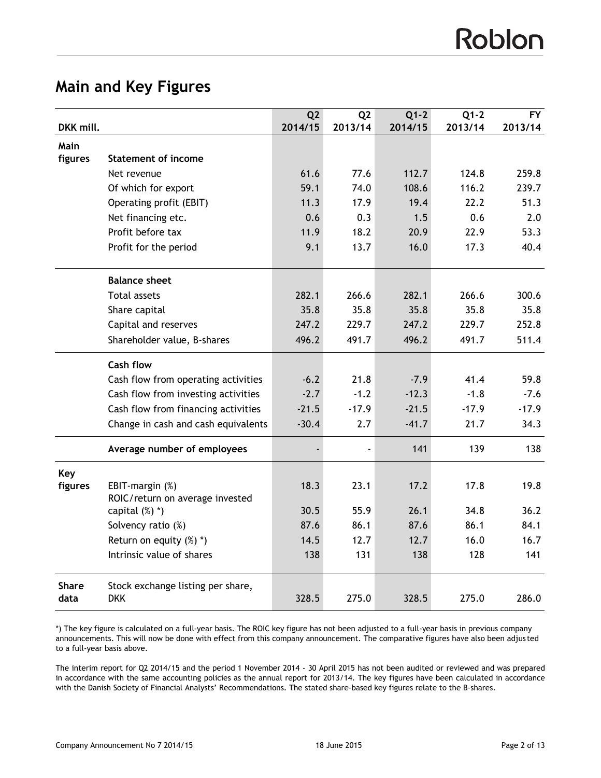# **Main and Key Figures**

|              |                                                    | Q <sub>2</sub> | Q <sub>2</sub> | $Q1-2$  | $Q1-2$  | <b>FY</b> |
|--------------|----------------------------------------------------|----------------|----------------|---------|---------|-----------|
| DKK mill.    |                                                    | 2014/15        | 2013/14        | 2014/15 | 2013/14 | 2013/14   |
| Main         |                                                    |                |                |         |         |           |
| figures      | <b>Statement of income</b>                         |                |                |         |         |           |
|              | Net revenue                                        | 61.6           | 77.6           | 112.7   | 124.8   | 259.8     |
|              | Of which for export                                | 59.1           | 74.0           | 108.6   | 116.2   | 239.7     |
|              | Operating profit (EBIT)                            | 11.3           | 17.9           | 19.4    | 22.2    | 51.3      |
|              | Net financing etc.                                 | 0.6            | 0.3            | 1.5     | 0.6     | 2.0       |
|              | Profit before tax                                  | 11.9           | 18.2           | 20.9    | 22.9    | 53.3      |
|              | Profit for the period                              | 9.1            | 13.7           | 16.0    | 17.3    | 40.4      |
|              | <b>Balance sheet</b>                               |                |                |         |         |           |
|              | <b>Total assets</b>                                | 282.1          | 266.6          | 282.1   | 266.6   | 300.6     |
|              | Share capital                                      | 35.8           | 35.8           | 35.8    | 35.8    | 35.8      |
|              | Capital and reserves                               | 247.2          | 229.7          | 247.2   | 229.7   | 252.8     |
|              | Shareholder value, B-shares                        | 496.2          | 491.7          | 496.2   | 491.7   | 511.4     |
|              | <b>Cash flow</b>                                   |                |                |         |         |           |
|              | Cash flow from operating activities                | $-6.2$         | 21.8           | $-7.9$  | 41.4    | 59.8      |
|              | Cash flow from investing activities                | $-2.7$         | $-1.2$         | $-12.3$ | $-1.8$  | $-7.6$    |
|              | Cash flow from financing activities                | $-21.5$        | $-17.9$        | $-21.5$ | $-17.9$ | $-17.9$   |
|              | Change in cash and cash equivalents                | $-30.4$        | 2.7            | $-41.7$ | 21.7    | 34.3      |
|              | Average number of employees                        |                |                | 141     | 139     | 138       |
| Key          |                                                    |                |                |         |         |           |
| figures      | EBIT-margin (%)<br>ROIC/return on average invested | 18.3           | 23.1           | 17.2    | 17.8    | 19.8      |
|              | capital $(\%)$ $*)$                                | 30.5           | 55.9           | 26.1    | 34.8    | 36.2      |
|              | Solvency ratio (%)                                 | 87.6           | 86.1           | 87.6    | 86.1    | 84.1      |
|              | Return on equity (%) *)                            | 14.5           | 12.7           | 12.7    | 16.0    | 16.7      |
|              | Intrinsic value of shares                          | 138            | 131            | 138     | 128     | 141       |
| <b>Share</b> | Stock exchange listing per share,                  |                |                |         |         |           |
| data         | <b>DKK</b>                                         | 328.5          | 275.0          | 328.5   | 275.0   | 286.0     |

\*) The key figure is calculated on a full-year basis. The ROIC key figure has not been adjusted to a full-year basis in previous company announcements. This will now be done with effect from this company announcement. The comparative figures have also been adjus ted to a full-year basis above.

The interim report for Q2 2014/15 and the period 1 November 2014 - 30 April 2015 has not been audited or reviewed and was prepared in accordance with the same accounting policies as the annual report for 2013/14. The key figures have been calculated in accordance with the Danish Society of Financial Analysts' Recommendations. The stated share-based key figures relate to the B-shares.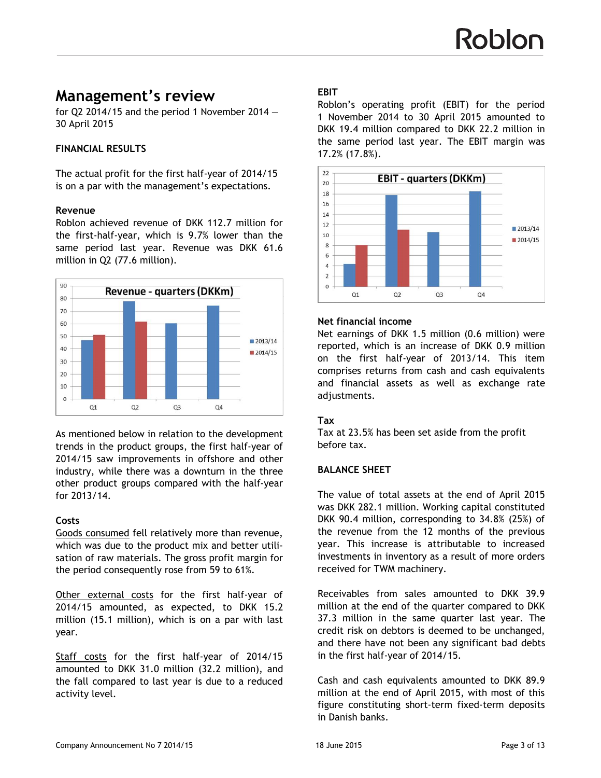## **Management's review**

for Q2 2014/15 and the period 1 November 2014  $-$ 30 April 2015

#### **FINANCIAL RESULTS**

The actual profit for the first half-year of 2014/15 is on a par with the management's expectations.

#### **Revenue**

Roblon achieved revenue of DKK 112.7 million for the first-half-year, which is 9.7% lower than the same period last year. Revenue was DKK 61.6 million in Q2 (77.6 million).



As mentioned below in relation to the development trends in the product groups, the first half-year of 2014/15 saw improvements in offshore and other industry, while there was a downturn in the three other product groups compared with the half-year for 2013/14.

#### **Costs**

Goods consumed fell relatively more than revenue, which was due to the product mix and better utilisation of raw materials. The gross profit margin for the period consequently rose from 59 to 61%.

Other external costs for the first half-year of 2014/15 amounted, as expected, to DKK 15.2 million (15.1 million), which is on a par with last year.

Staff costs for the first half-year of 2014/15 amounted to DKK 31.0 million (32.2 million), and the fall compared to last year is due to a reduced activity level.

#### **EBIT**

Roblon's operating profit (EBIT) for the period 1 November 2014 to 30 April 2015 amounted to DKK 19.4 million compared to DKK 22.2 million in the same period last year. The EBIT margin was 17.2% (17.8%).



#### **Net financial income**

Net earnings of DKK 1.5 million (0.6 million) were reported, which is an increase of DKK 0.9 million on the first half-year of 2013/14. This item comprises returns from cash and cash equivalents and financial assets as well as exchange rate adjustments.

#### **Tax**

Tax at 23.5% has been set aside from the profit before tax.

#### **BALANCE SHEET**

The value of total assets at the end of April 2015 was DKK 282.1 million. Working capital constituted DKK 90.4 million, corresponding to 34.8% (25%) of the revenue from the 12 months of the previous year. This increase is attributable to increased investments in inventory as a result of more orders received for TWM machinery.

Receivables from sales amounted to DKK 39.9 million at the end of the quarter compared to DKK 37.3 million in the same quarter last year. The credit risk on debtors is deemed to be unchanged, and there have not been any significant bad debts in the first half-year of 2014/15.

Cash and cash equivalents amounted to DKK 89.9 million at the end of April 2015, with most of this figure constituting short-term fixed-term deposits in Danish banks.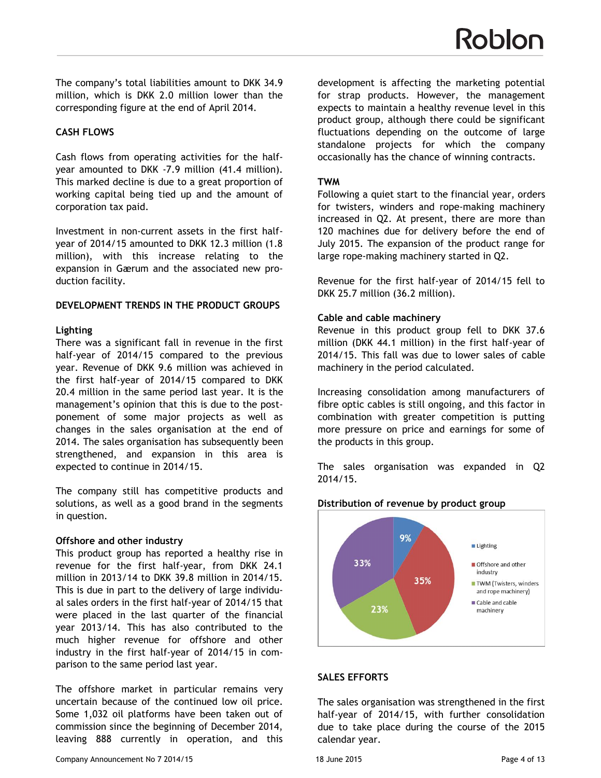The company's total liabilities amount to DKK 34.9 million, which is DKK 2.0 million lower than the corresponding figure at the end of April 2014.

## **CASH FLOWS**

Cash flows from operating activities for the halfyear amounted to DKK -7.9 million (41.4 million). This marked decline is due to a great proportion of working capital being tied up and the amount of corporation tax paid.

Investment in non-current assets in the first halfyear of 2014/15 amounted to DKK 12.3 million (1.8 million), with this increase relating to the expansion in Gærum and the associated new production facility.

#### **DEVELOPMENT TRENDS IN THE PRODUCT GROUPS**

## **Lighting**

There was a significant fall in revenue in the first half-year of 2014/15 compared to the previous year. Revenue of DKK 9.6 million was achieved in the first half-year of 2014/15 compared to DKK 20.4 million in the same period last year. It is the management's opinion that this is due to the postponement of some major projects as well as changes in the sales organisation at the end of 2014. The sales organisation has subsequently been strengthened, and expansion in this area is expected to continue in 2014/15.

The company still has competitive products and solutions, as well as a good brand in the segments in question.

## **Offshore and other industry**

This product group has reported a healthy rise in revenue for the first half-year, from DKK 24.1 million in 2013/14 to DKK 39.8 million in 2014/15. This is due in part to the delivery of large individual sales orders in the first half-year of 2014/15 that were placed in the last quarter of the financial year 2013/14. This has also contributed to the much higher revenue for offshore and other industry in the first half-year of 2014/15 in comparison to the same period last year.

The offshore market in particular remains very uncertain because of the continued low oil price. Some 1,032 oil platforms have been taken out of commission since the beginning of December 2014, leaving 888 currently in operation, and this

Company Announcement No 7 2014/15 18 June 2015 18 June 2015

development is affecting the marketing potential for strap products. However, the management expects to maintain a healthy revenue level in this product group, although there could be significant fluctuations depending on the outcome of large standalone projects for which the company occasionally has the chance of winning contracts.

#### **TWM**

Following a quiet start to the financial year, orders for twisters, winders and rope-making machinery increased in Q2. At present, there are more than 120 machines due for delivery before the end of July 2015. The expansion of the product range for large rope-making machinery started in Q2.

Revenue for the first half-year of 2014/15 fell to DKK 25.7 million (36.2 million).

#### **Cable and cable machinery**

Revenue in this product group fell to DKK 37.6 million (DKK 44.1 million) in the first half-year of 2014/15. This fall was due to lower sales of cable machinery in the period calculated.

Increasing consolidation among manufacturers of fibre optic cables is still ongoing, and this factor in combination with greater competition is putting more pressure on price and earnings for some of the products in this group.

The sales organisation was expanded in Q2 2014/15.



#### **Distribution of revenue by product group**

#### **SALES EFFORTS**

The sales organisation was strengthened in the first half-year of 2014/15, with further consolidation due to take place during the course of the 2015 calendar year.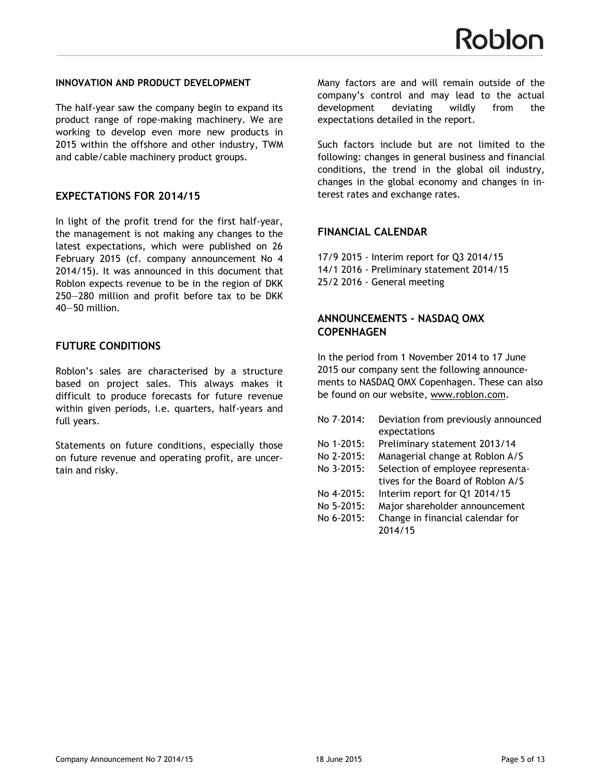#### **INNOVATION AND PRODUCT DEVELOPMENT**

The half-year saw the company begin to expand its product range of rope-making machinery. We are working to develop even more new products in 2015 within the offshore and other industry, TWM and cable/cable machinery product groups.

#### **EXPECTATIONS FOR 2014/15**

In light of the profit trend for the first half-year, the management is not making any changes to the latest expectations, which were published on 26 February 2015 (cf. company announcement No 4 2014/15). It was announced in this document that Roblon expects revenue to be in the region of DKK 250—280 million and profit before tax to be DKK 40—50 million.

#### **FUTURE CONDITIONS**

Roblon's sales are characterised by a structure based on project sales. This always makes it difficult to produce forecasts for future revenue within given periods, i.e. quarters, half-years and full years.

Statements on future conditions, especially those on future revenue and operating profit, are uncertain and risky.

Many factors are and will remain outside of the company's control and may lead to the actual development deviating wildly from the expectations detailed in the report.

Such factors include but are not limited to the following: changes in general business and financial conditions, the trend in the global oil industry, changes in the global economy and changes in interest rates and exchange rates.

#### **FINANCIAL CALENDAR**

17/9 2015 - Interim report for Q3 2014/15 14/1 2016 - Preliminary statement 2014/15 25/2 2016 - General meeting

#### **ANNOUNCEMENTS - NASDAQ OMX COPENHAGEN**

In the period from 1 November 2014 to 17 June 2015 our company sent the following announcements to NASDAQ OMX Copenhagen. These can also be found on our website, <www.roblon.com>.

| No 7-2014: | Deviation from previously announced |
|------------|-------------------------------------|
|            | expectations                        |
| No 1-2015: | Preliminary statement 2013/14       |
| No 2-2015: | Managerial change at Roblon A/S     |
| No 3-2015: | Selection of employee representa-   |
|            | tives for the Board of Roblon A/S   |
| No 4-2015: | Interim report for Q1 2014/15       |
| No 5-2015: | Major shareholder announcement      |
| No 6-2015: | Change in financial calendar for    |
|            | 2014/15                             |
|            |                                     |
|            |                                     |
|            |                                     |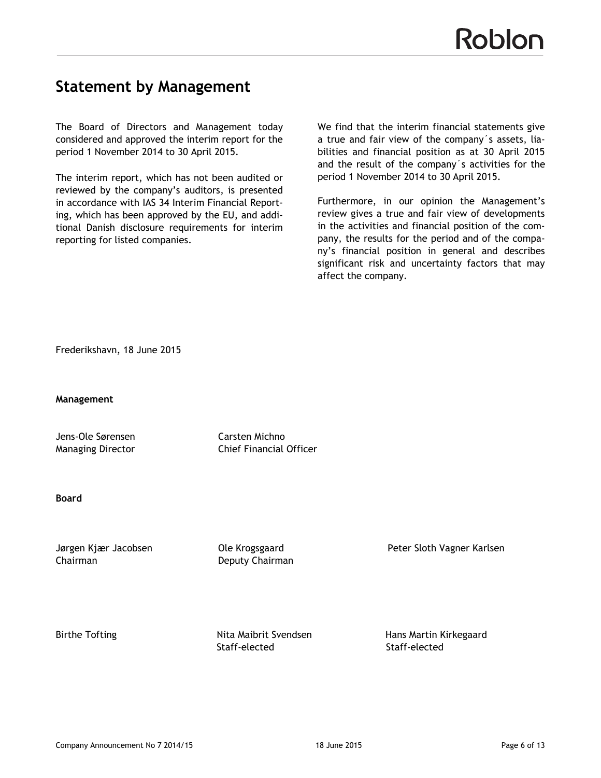## **Statement by Management**

The Board of Directors and Management today considered and approved the interim report for the period 1 November 2014 to 30 April 2015.

The interim report, which has not been audited or reviewed by the company's auditors, is presented in accordance with IAS 34 Interim Financial Reporting, which has been approved by the EU, and additional Danish disclosure requirements for interim reporting for listed companies.

We find that the interim financial statements give a true and fair view of the company´s assets, liabilities and financial position as at 30 April 2015 and the result of the company´s activities for the period 1 November 2014 to 30 April 2015.

Furthermore, in our opinion the Management's review gives a true and fair view of developments in the activities and financial position of the company, the results for the period and of the company's financial position in general and describes significant risk and uncertainty factors that may affect the company.

Frederikshavn, 18 June 2015

**Management**

Jens-Ole Sørensen Carsten Michno

Managing Director Chief Financial Officer

#### **Board**

Chairman Deputy Chairman

Jørgen Kjær Jacobsen Ole Krogsgaard Peter Sloth Vagner Karlsen

Birthe Tofting Nita Maibrit SvendsenHans Martin Kirkegaard Staff-elected Staff-elected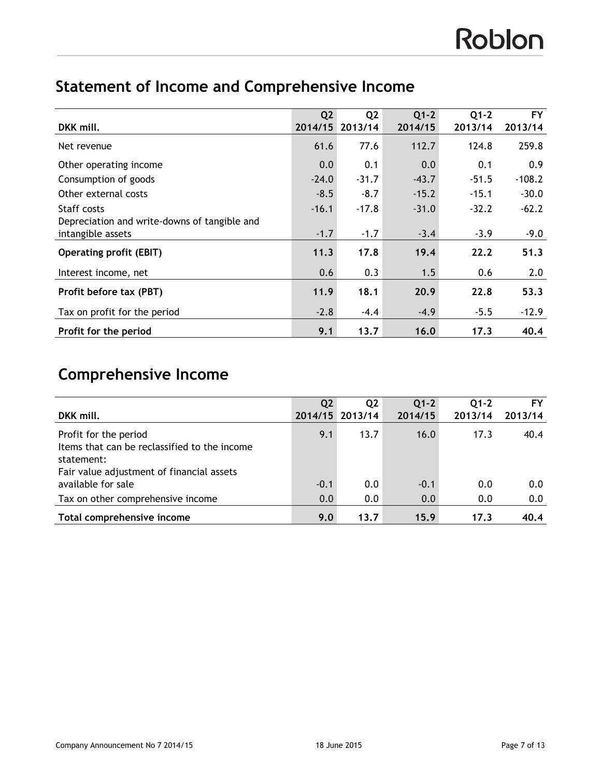# **Statement of Income and Comprehensive Income**

|                                                                   | Q2      | Q <sub>2</sub> | $Q1-2$  | $Q1-2$  | <b>FY</b> |
|-------------------------------------------------------------------|---------|----------------|---------|---------|-----------|
| DKK mill.                                                         | 2014/15 | 2013/14        | 2014/15 | 2013/14 | 2013/14   |
| Net revenue                                                       | 61.6    | 77.6           | 112.7   | 124.8   | 259.8     |
| Other operating income                                            | 0.0     | 0.1            | 0.0     | 0.1     | 0.9       |
| Consumption of goods                                              | $-24.0$ | $-31.7$        | $-43.7$ | $-51.5$ | $-108.2$  |
| Other external costs                                              | $-8.5$  | $-8.7$         | $-15.2$ | $-15.1$ | $-30.0$   |
| Staff costs                                                       | $-16.1$ | $-17.8$        | $-31.0$ | $-32.2$ | $-62.2$   |
| Depreciation and write-downs of tangible and<br>intangible assets | $-1.7$  | $-1.7$         | $-3.4$  | $-3.9$  | $-9.0$    |
| <b>Operating profit (EBIT)</b>                                    | 11.3    | 17.8           | 19.4    | 22.2    | 51.3      |
| Interest income, net                                              | 0.6     | 0.3            | 1.5     | 0.6     | 2.0       |
| Profit before tax (PBT)                                           | 11.9    | 18.1           | 20.9    | 22.8    | 53.3      |
| Tax on profit for the period                                      | $-2.8$  | $-4.4$         | $-4.9$  | $-5.5$  | $-12.9$   |
| Profit for the period                                             | 9.1     | 13.7           | 16.0    | 17.3    | 40.4      |

# **Comprehensive Income**

| DKK mill.                                                                                                                        | Q <sub>2</sub> | Q <sub>2</sub><br>2014/15 2013/14 | $Q1-2$<br>2014/15 | $O1-2$<br>2013/14 | FY<br>2013/14 |
|----------------------------------------------------------------------------------------------------------------------------------|----------------|-----------------------------------|-------------------|-------------------|---------------|
| Profit for the period<br>Items that can be reclassified to the income<br>statement:<br>Fair value adjustment of financial assets | 9.1            | 13.7                              | 16.0              | 17.3              | 40.4          |
| available for sale                                                                                                               | $-0.1$         | 0.0                               | $-0.1$            | 0.0               | 0.0           |
| Tax on other comprehensive income                                                                                                | 0.0            | 0.0                               | 0.0               | 0.0               | 0.0           |
| Total comprehensive income                                                                                                       | 9.0            | 13.7                              | 15.9              | 17.3              | 40.4          |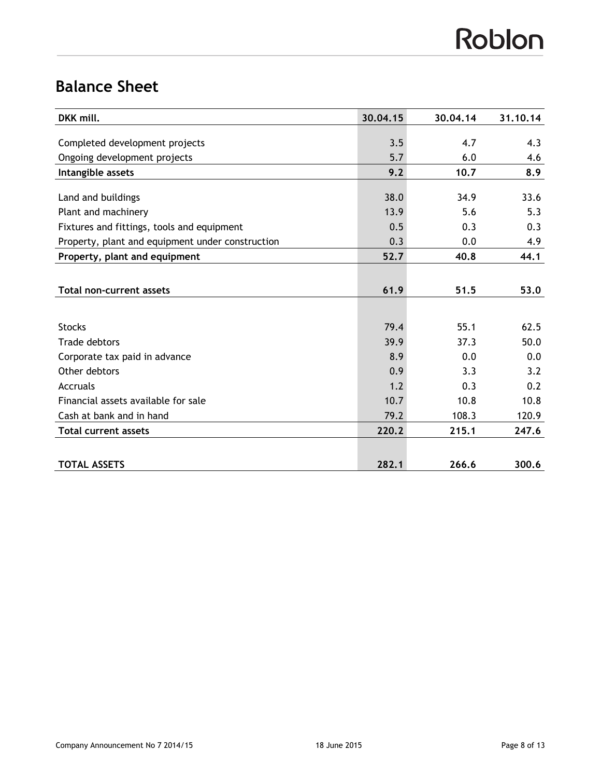# Roblon

# **Balance Sheet**

| DKK mill.                                        | 30.04.15 | 30.04.14 | 31.10.14 |
|--------------------------------------------------|----------|----------|----------|
|                                                  |          |          |          |
| Completed development projects                   | 3.5      | 4.7      | 4.3      |
| Ongoing development projects                     | 5.7      | 6.0      | 4.6      |
| Intangible assets                                | 9.2      | 10.7     | 8.9      |
|                                                  |          |          |          |
| Land and buildings                               | 38.0     | 34.9     | 33.6     |
| Plant and machinery                              | 13.9     | 5.6      | 5.3      |
| Fixtures and fittings, tools and equipment       | 0.5      | 0.3      | 0.3      |
| Property, plant and equipment under construction | 0.3      | 0.0      | 4.9      |
| Property, plant and equipment                    | 52.7     | 40.8     | 44.1     |
|                                                  |          |          |          |
| <b>Total non-current assets</b>                  | 61.9     | 51.5     | 53.0     |
|                                                  |          |          |          |
| <b>Stocks</b>                                    | 79.4     | 55.1     | 62.5     |
| Trade debtors                                    | 39.9     | 37.3     | 50.0     |
| Corporate tax paid in advance                    | 8.9      | 0.0      | 0.0      |
| Other debtors                                    | 0.9      | 3.3      | 3.2      |
| Accruals                                         | 1.2      | 0.3      | 0.2      |
| Financial assets available for sale              | 10.7     | 10.8     | 10.8     |
| Cash at bank and in hand                         | 79.2     | 108.3    | 120.9    |
| <b>Total current assets</b>                      | 220.2    | 215.1    | 247.6    |
|                                                  |          |          |          |
| <b>TOTAL ASSETS</b>                              | 282.1    | 266.6    | 300.6    |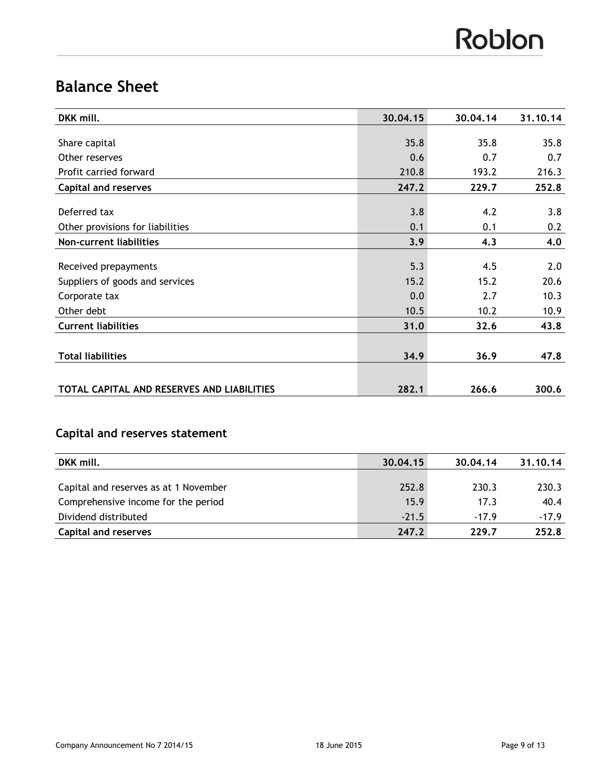# Roblon

# **Balance Sheet**

| DKK mill.                                  | 30.04.15 | 30.04.14 | 31.10.14 |
|--------------------------------------------|----------|----------|----------|
|                                            |          |          |          |
| Share capital                              | 35.8     | 35.8     | 35.8     |
| Other reserves                             | 0.6      | 0.7      | 0.7      |
| Profit carried forward                     | 210.8    | 193.2    | 216.3    |
| <b>Capital and reserves</b>                | 247.2    | 229.7    | 252.8    |
| Deferred tax                               | 3.8      | 4.2      | 3.8      |
| Other provisions for liabilities           | 0.1      | 0.1      | 0.2      |
| Non-current liabilities                    | 3.9      | 4.3      | 4.0      |
| Received prepayments                       | 5.3      | 4.5      | 2.0      |
| Suppliers of goods and services            | 15.2     | 15.2     | 20.6     |
| Corporate tax                              | 0.0      | 2.7      | 10.3     |
| Other debt                                 | 10.5     | 10.2     | 10.9     |
| <b>Current liabilities</b>                 | 31.0     | 32.6     | 43.8     |
| <b>Total liabilities</b>                   | 34.9     | 36.9     | 47.8     |
| TOTAL CAPITAL AND RESERVES AND LIABILITIES | 282.1    | 266.6    | 300.6    |

## **Capital and reserves statement**

| DKK mill.                             | 30.04.15 | 30.04.14 | 31.10.14 |
|---------------------------------------|----------|----------|----------|
|                                       |          | 230.3    |          |
| Capital and reserves as at 1 November | 252.8    |          | 230.3    |
| Comprehensive income for the period   | 15.9     | 17.3     | 40.4     |
| Dividend distributed                  | $-21.5$  | $-17.9$  | $-17.9$  |
| <b>Capital and reserves</b>           | 247.2    | 229.7    | 252.8    |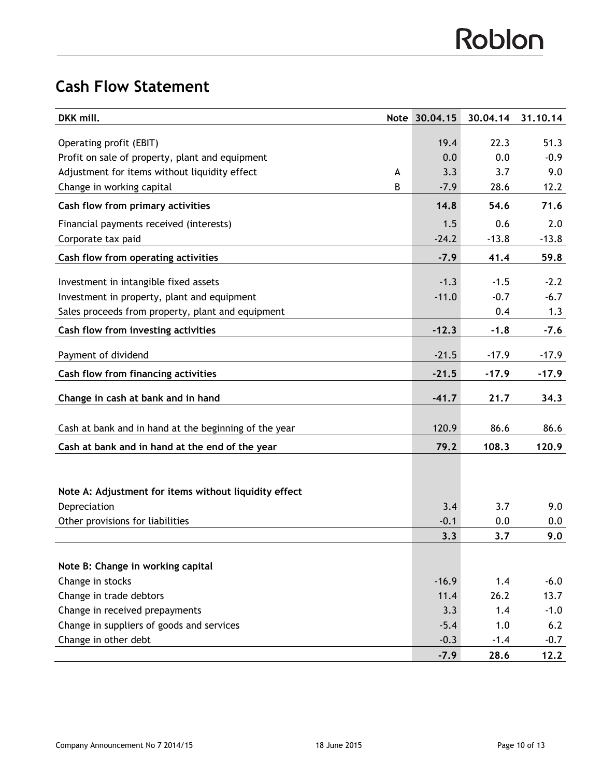# **Cash Flow Statement**

| DKK mill.                                             | Note | 30.04.15 | 30.04.14 | 31.10.14 |
|-------------------------------------------------------|------|----------|----------|----------|
| Operating profit (EBIT)                               |      | 19.4     | 22.3     | 51.3     |
| Profit on sale of property, plant and equipment       |      | 0.0      | 0.0      | $-0.9$   |
| Adjustment for items without liquidity effect         | A    | 3.3      | 3.7      | 9.0      |
| Change in working capital                             | B    | $-7.9$   | 28.6     | 12.2     |
| Cash flow from primary activities                     |      | 14.8     | 54.6     | 71.6     |
| Financial payments received (interests)               |      | 1.5      | 0.6      | 2.0      |
| Corporate tax paid                                    |      | $-24.2$  | $-13.8$  | $-13.8$  |
| Cash flow from operating activities                   |      | $-7.9$   | 41.4     | 59.8     |
| Investment in intangible fixed assets                 |      | $-1.3$   | $-1.5$   | $-2.2$   |
| Investment in property, plant and equipment           |      | $-11.0$  | $-0.7$   | $-6.7$   |
| Sales proceeds from property, plant and equipment     |      |          | 0.4      | 1.3      |
| Cash flow from investing activities                   |      | $-12.3$  | $-1.8$   | $-7.6$   |
| Payment of dividend                                   |      | $-21.5$  | $-17.9$  | $-17.9$  |
| Cash flow from financing activities                   |      | $-21.5$  | $-17.9$  | $-17.9$  |
| Change in cash at bank and in hand                    |      | $-41.7$  | 21.7     | 34.3     |
|                                                       |      |          |          |          |
| Cash at bank and in hand at the beginning of the year |      | 120.9    | 86.6     | 86.6     |
| Cash at bank and in hand at the end of the year       |      | 79.2     | 108.3    | 120.9    |
|                                                       |      |          |          |          |
| Note A: Adjustment for items without liquidity effect |      |          |          |          |
| Depreciation                                          |      | 3.4      | 3.7      | 9.0      |
| Other provisions for liabilities                      |      | $-0.1$   | 0.0      | 0.0      |
|                                                       |      | 3.3      | 3.7      | 9.0      |
|                                                       |      |          |          |          |
| Note B: Change in working capital                     |      |          |          |          |
| Change in stocks                                      |      | $-16.9$  | 1.4      | $-6.0$   |
| Change in trade debtors                               |      | 11.4     | 26.2     | 13.7     |
| Change in received prepayments                        |      | 3.3      | 1.4      | $-1.0$   |
| Change in suppliers of goods and services             |      | $-5.4$   | 1.0      | 6.2      |
| Change in other debt                                  |      | $-0.3$   | $-1.4$   | $-0.7$   |
|                                                       |      | $-7.9$   | 28.6     | 12.2     |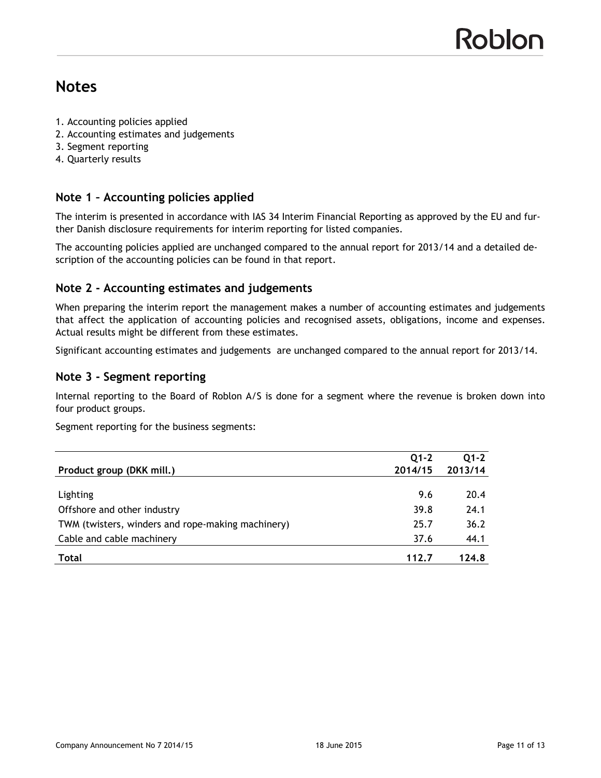## **Notes**

- 1. Accounting policies applied
- 2. Accounting estimates and judgements
- 3. Segment reporting
- 4. Quarterly results

## **Note 1 – Accounting policies applied**

The interim is presented in accordance with IAS 34 Interim Financial Reporting as approved by the EU and further Danish disclosure requirements for interim reporting for listed companies.

The accounting policies applied are unchanged compared to the annual report for 2013/14 and a detailed description of the accounting policies can be found in that report.

#### **Note 2 - Accounting estimates and judgements**

When preparing the interim report the management makes a number of accounting estimates and judgements that affect the application of accounting policies and recognised assets, obligations, income and expenses. Actual results might be different from these estimates.

Significant accounting estimates and judgements are unchanged compared to the annual report for 2013/14.

#### **Note 3 - Segment reporting**

Internal reporting to the Board of Roblon A/S is done for a segment where the revenue is broken down into four product groups.

Segment reporting for the business segments:

|                                                   | $O1-2$  | $01 - 2$ |
|---------------------------------------------------|---------|----------|
| Product group (DKK mill.)                         | 2014/15 | 2013/14  |
|                                                   |         |          |
| Lighting                                          | 9.6     | 20.4     |
| Offshore and other industry                       | 39.8    | 24.1     |
| TWM (twisters, winders and rope-making machinery) | 25.7    | 36.2     |
| Cable and cable machinery                         | 37.6    | 44.1     |
| Total                                             | 112.7   | 124.8    |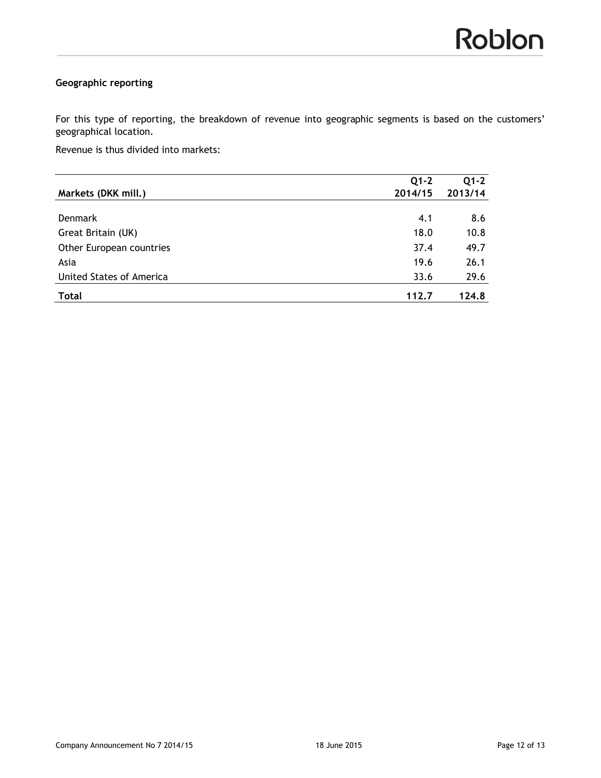## **Geographic reporting**

For this type of reporting, the breakdown of revenue into geographic segments is based on the customers' geographical location.

Revenue is thus divided into markets:

| Markets (DKK mill.)             | $Q1-2$<br>2014/15 | $Q1 - 2$<br>2013/14 |
|---------------------------------|-------------------|---------------------|
|                                 |                   |                     |
| <b>Denmark</b>                  | 4.1               | 8.6                 |
| Great Britain (UK)              | 18.0              | 10.8                |
| Other European countries        | 37.4              | 49.7                |
| Asia                            | 19.6              | 26.1                |
| <b>United States of America</b> | 33.6              | 29.6                |
| <b>Total</b>                    | 112.7             | 124.8               |